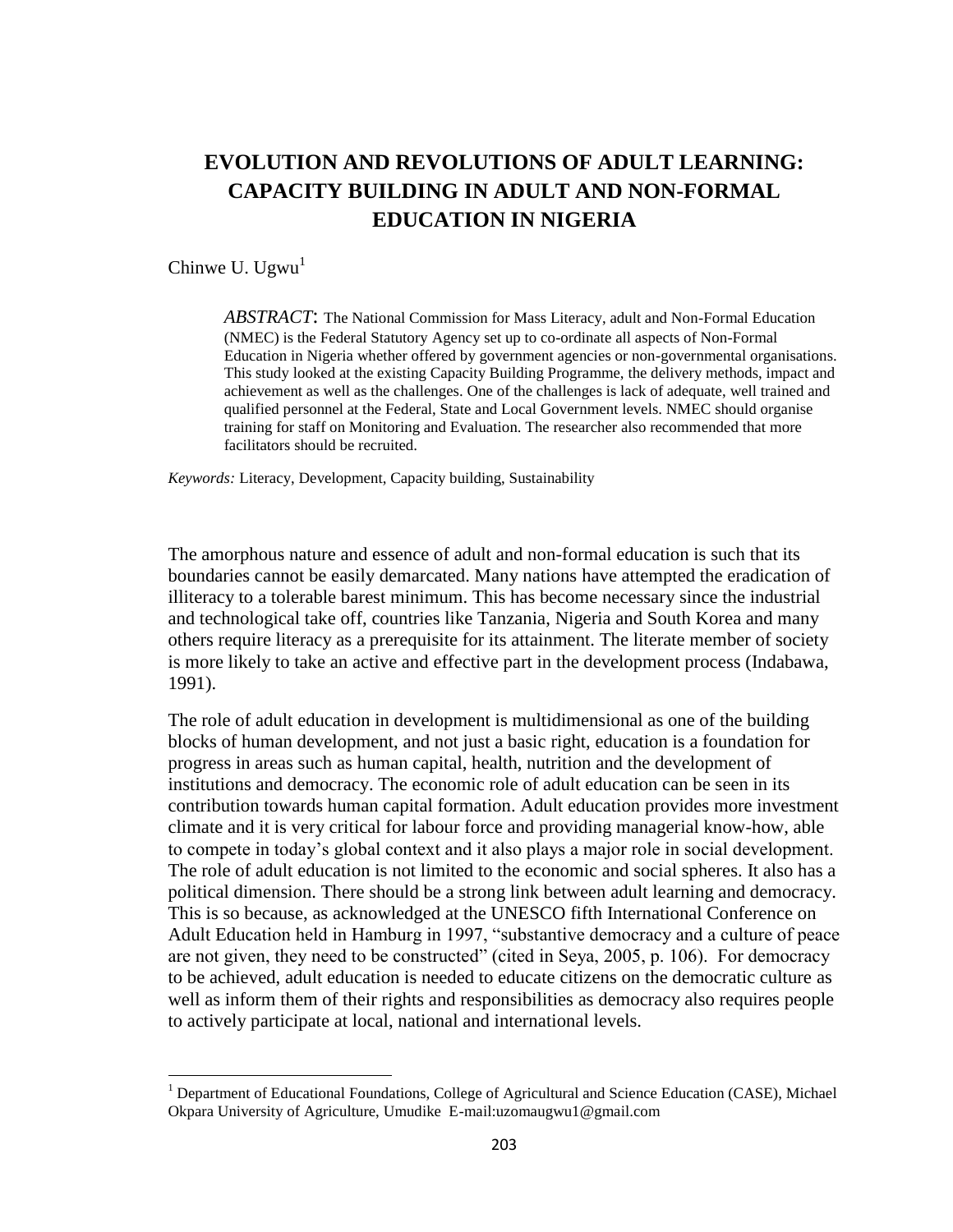# **EVOLUTION AND REVOLUTIONS OF ADULT LEARNING: CAPACITY BUILDING IN ADULT AND NON-FORMAL EDUCATION IN NIGERIA**

Chinwe U. Ugwu $<sup>1</sup>$ </sup>

 $\overline{a}$ 

*ABSTRACT*: The National Commission for Mass Literacy, adult and Non-Formal Education (NMEC) is the Federal Statutory Agency set up to co-ordinate all aspects of Non-Formal Education in Nigeria whether offered by government agencies or non-governmental organisations. This study looked at the existing Capacity Building Programme, the delivery methods, impact and achievement as well as the challenges. One of the challenges is lack of adequate, well trained and qualified personnel at the Federal, State and Local Government levels. NMEC should organise training for staff on Monitoring and Evaluation. The researcher also recommended that more facilitators should be recruited.

*Keywords:* Literacy, Development, Capacity building, Sustainability

The amorphous nature and essence of adult and non-formal education is such that its boundaries cannot be easily demarcated. Many nations have attempted the eradication of illiteracy to a tolerable barest minimum. This has become necessary since the industrial and technological take off, countries like Tanzania, Nigeria and South Korea and many others require literacy as a prerequisite for its attainment. The literate member of society is more likely to take an active and effective part in the development process (Indabawa, 1991).

The role of adult education in development is multidimensional as one of the building blocks of human development, and not just a basic right, education is a foundation for progress in areas such as human capital, health, nutrition and the development of institutions and democracy. The economic role of adult education can be seen in its contribution towards human capital formation. Adult education provides more investment climate and it is very critical for labour force and providing managerial know-how, able to compete in today's global context and it also plays a major role in social development. The role of adult education is not limited to the economic and social spheres. It also has a political dimension. There should be a strong link between adult learning and democracy. This is so because, as acknowledged at the UNESCO fifth International Conference on Adult Education held in Hamburg in 1997, "substantive democracy and a culture of peace are not given, they need to be constructed" (cited in Seya, 2005, p. 106). For democracy to be achieved, adult education is needed to educate citizens on the democratic culture as well as inform them of their rights and responsibilities as democracy also requires people to actively participate at local, national and international levels.

 $<sup>1</sup>$  Department of Educational Foundations, College of Agricultural and Science Education (CASE), Michael</sup> Okpara University of Agriculture, Umudike E-mail:uzomaugwu1@gmail.com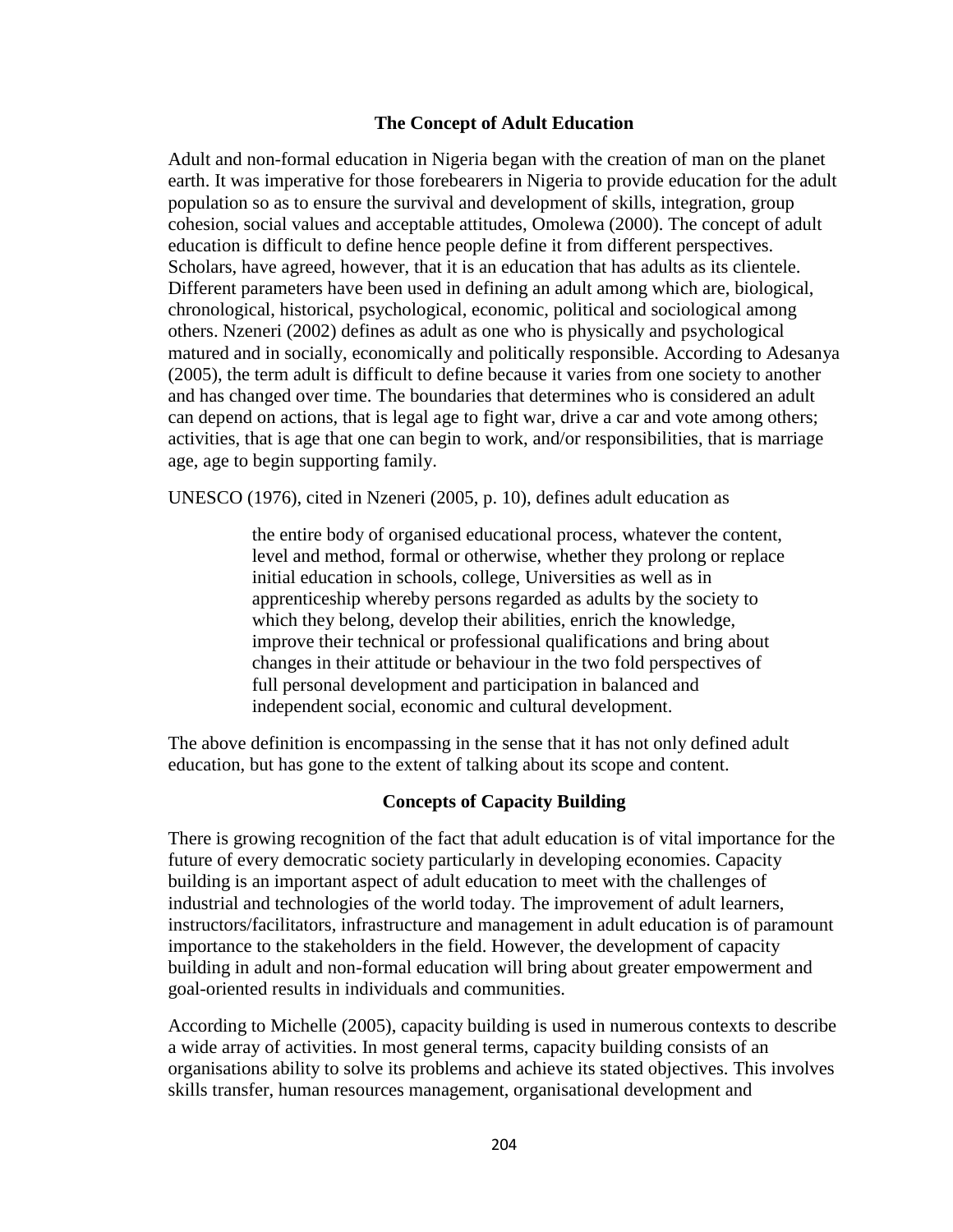#### **The Concept of Adult Education**

Adult and non-formal education in Nigeria began with the creation of man on the planet earth. It was imperative for those forebearers in Nigeria to provide education for the adult population so as to ensure the survival and development of skills, integration, group cohesion, social values and acceptable attitudes, Omolewa (2000). The concept of adult education is difficult to define hence people define it from different perspectives. Scholars, have agreed, however, that it is an education that has adults as its clientele. Different parameters have been used in defining an adult among which are, biological, chronological, historical, psychological, economic, political and sociological among others. Nzeneri (2002) defines as adult as one who is physically and psychological matured and in socially, economically and politically responsible. According to Adesanya (2005), the term adult is difficult to define because it varies from one society to another and has changed over time. The boundaries that determines who is considered an adult can depend on actions, that is legal age to fight war, drive a car and vote among others; activities, that is age that one can begin to work, and/or responsibilities, that is marriage age, age to begin supporting family.

UNESCO (1976), cited in Nzeneri (2005, p. 10), defines adult education as

the entire body of organised educational process, whatever the content, level and method, formal or otherwise, whether they prolong or replace initial education in schools, college, Universities as well as in apprenticeship whereby persons regarded as adults by the society to which they belong, develop their abilities, enrich the knowledge, improve their technical or professional qualifications and bring about changes in their attitude or behaviour in the two fold perspectives of full personal development and participation in balanced and independent social, economic and cultural development.

The above definition is encompassing in the sense that it has not only defined adult education, but has gone to the extent of talking about its scope and content.

#### **Concepts of Capacity Building**

There is growing recognition of the fact that adult education is of vital importance for the future of every democratic society particularly in developing economies. Capacity building is an important aspect of adult education to meet with the challenges of industrial and technologies of the world today. The improvement of adult learners, instructors/facilitators, infrastructure and management in adult education is of paramount importance to the stakeholders in the field. However, the development of capacity building in adult and non-formal education will bring about greater empowerment and goal-oriented results in individuals and communities.

According to Michelle (2005), capacity building is used in numerous contexts to describe a wide array of activities. In most general terms, capacity building consists of an organisations ability to solve its problems and achieve its stated objectives. This involves skills transfer, human resources management, organisational development and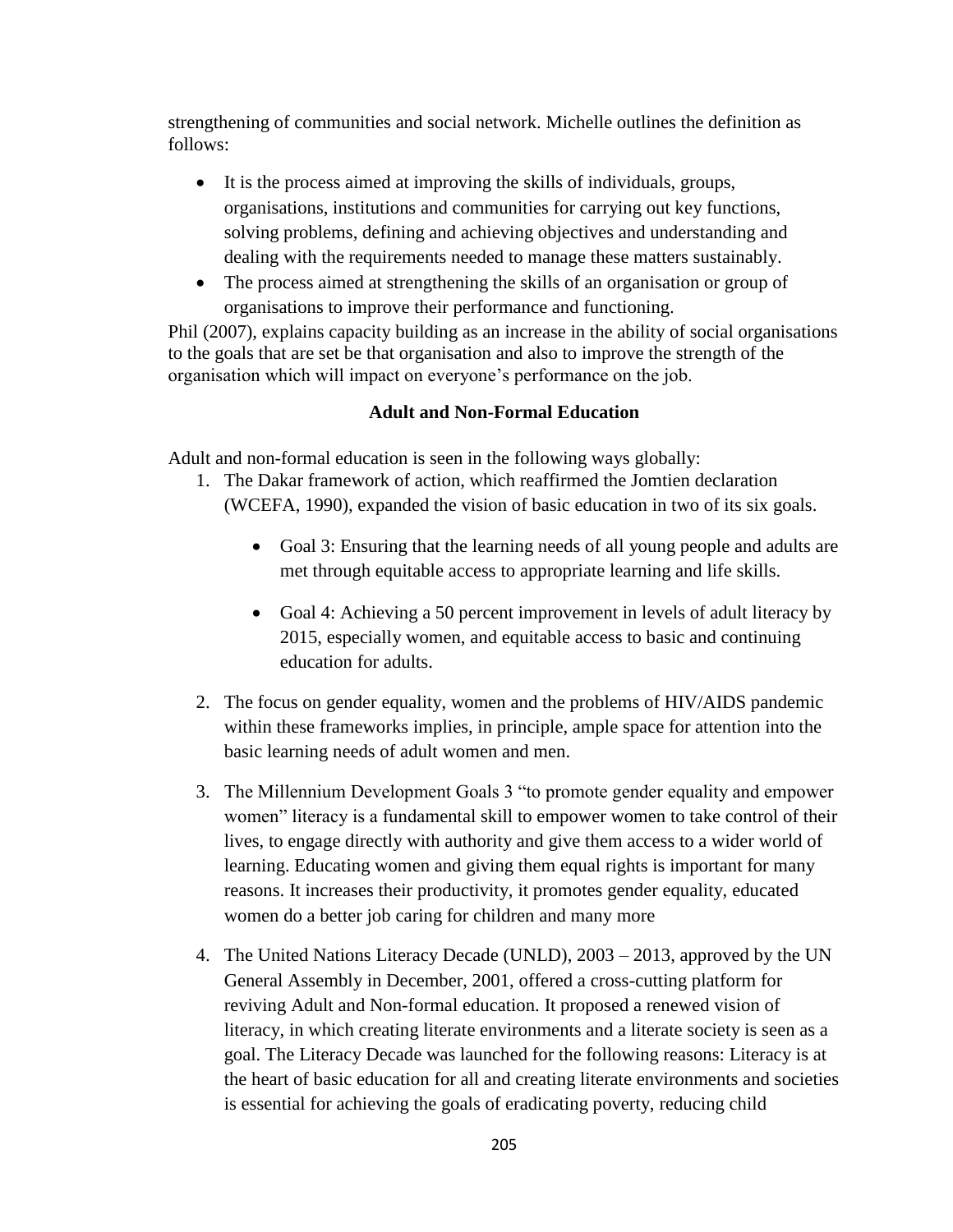strengthening of communities and social network. Michelle outlines the definition as follows:

- It is the process aimed at improving the skills of individuals, groups, organisations, institutions and communities for carrying out key functions, solving problems, defining and achieving objectives and understanding and dealing with the requirements needed to manage these matters sustainably.
- The process aimed at strengthening the skills of an organisation or group of organisations to improve their performance and functioning.

Phil (2007), explains capacity building as an increase in the ability of social organisations to the goals that are set be that organisation and also to improve the strength of the organisation which will impact on everyone's performance on the job.

## **Adult and Non-Formal Education**

Adult and non-formal education is seen in the following ways globally:

- 1. The Dakar framework of action, which reaffirmed the Jomtien declaration (WCEFA, 1990), expanded the vision of basic education in two of its six goals.
	- Goal 3: Ensuring that the learning needs of all young people and adults are met through equitable access to appropriate learning and life skills.
	- Goal 4: Achieving a 50 percent improvement in levels of adult literacy by 2015, especially women, and equitable access to basic and continuing education for adults.
- 2. The focus on gender equality, women and the problems of HIV/AIDS pandemic within these frameworks implies, in principle, ample space for attention into the basic learning needs of adult women and men.
- 3. The Millennium Development Goals 3 "to promote gender equality and empower women" literacy is a fundamental skill to empower women to take control of their lives, to engage directly with authority and give them access to a wider world of learning. Educating women and giving them equal rights is important for many reasons. It increases their productivity, it promotes gender equality, educated women do a better job caring for children and many more
- 4. The United Nations Literacy Decade (UNLD), 2003 2013, approved by the UN General Assembly in December, 2001, offered a cross-cutting platform for reviving Adult and Non-formal education. It proposed a renewed vision of literacy, in which creating literate environments and a literate society is seen as a goal. The Literacy Decade was launched for the following reasons: Literacy is at the heart of basic education for all and creating literate environments and societies is essential for achieving the goals of eradicating poverty, reducing child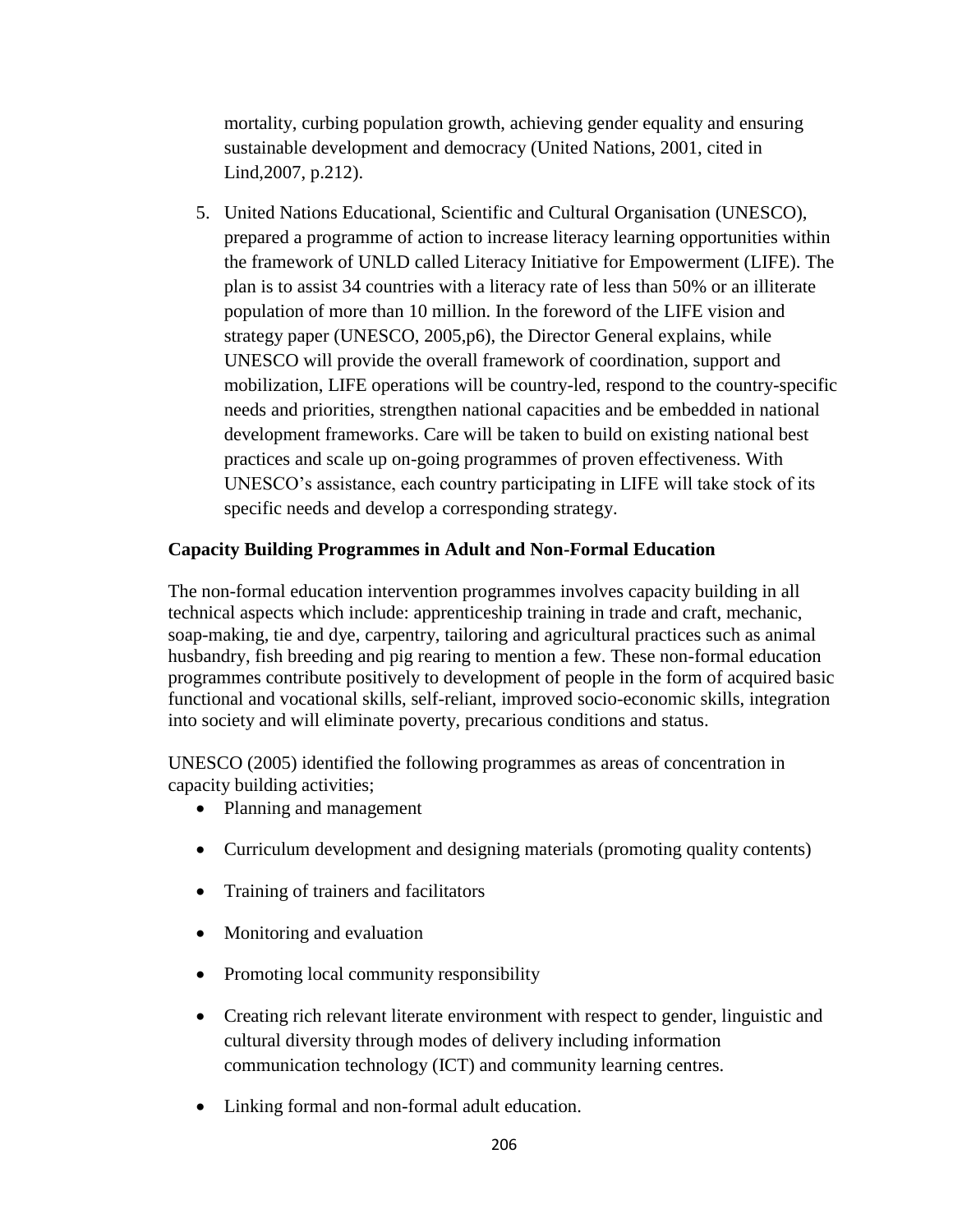mortality, curbing population growth, achieving gender equality and ensuring sustainable development and democracy (United Nations, 2001, cited in Lind,2007, p.212).

5. United Nations Educational, Scientific and Cultural Organisation (UNESCO), prepared a programme of action to increase literacy learning opportunities within the framework of UNLD called Literacy Initiative for Empowerment (LIFE). The plan is to assist 34 countries with a literacy rate of less than 50% or an illiterate population of more than 10 million. In the foreword of the LIFE vision and strategy paper (UNESCO, 2005,p6), the Director General explains, while UNESCO will provide the overall framework of coordination, support and mobilization, LIFE operations will be country-led, respond to the country-specific needs and priorities, strengthen national capacities and be embedded in national development frameworks. Care will be taken to build on existing national best practices and scale up on-going programmes of proven effectiveness. With UNESCO's assistance, each country participating in LIFE will take stock of its specific needs and develop a corresponding strategy.

## **Capacity Building Programmes in Adult and Non-Formal Education**

The non-formal education intervention programmes involves capacity building in all technical aspects which include: apprenticeship training in trade and craft, mechanic, soap-making, tie and dye, carpentry, tailoring and agricultural practices such as animal husbandry, fish breeding and pig rearing to mention a few. These non-formal education programmes contribute positively to development of people in the form of acquired basic functional and vocational skills, self-reliant, improved socio-economic skills, integration into society and will eliminate poverty, precarious conditions and status.

UNESCO (2005) identified the following programmes as areas of concentration in capacity building activities;

- Planning and management
- Curriculum development and designing materials (promoting quality contents)
- Training of trainers and facilitators
- Monitoring and evaluation
- Promoting local community responsibility
- Creating rich relevant literate environment with respect to gender, linguistic and cultural diversity through modes of delivery including information communication technology (ICT) and community learning centres.
- Linking formal and non-formal adult education.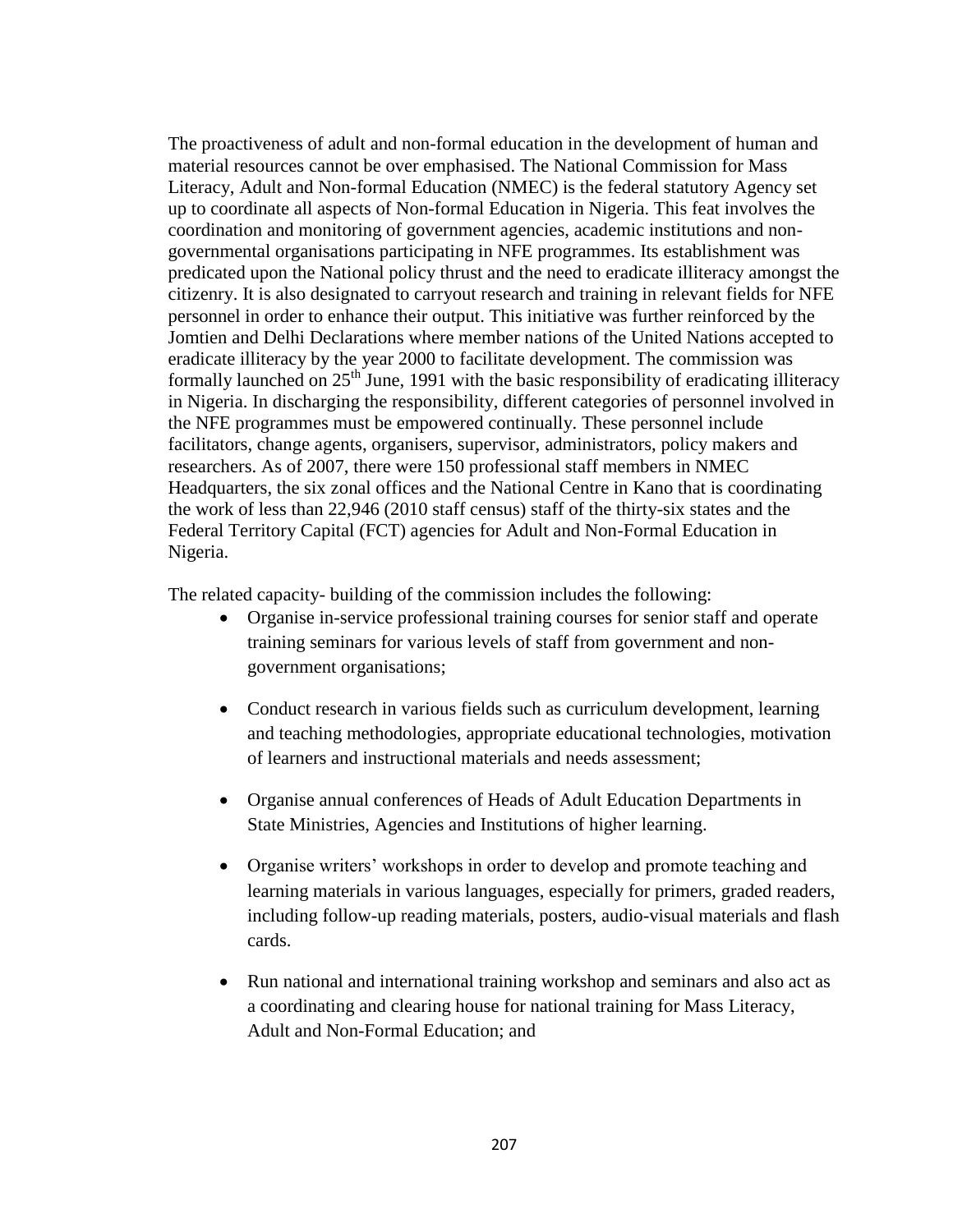The proactiveness of adult and non-formal education in the development of human and material resources cannot be over emphasised. The National Commission for Mass Literacy, Adult and Non-formal Education (NMEC) is the federal statutory Agency set up to coordinate all aspects of Non-formal Education in Nigeria. This feat involves the coordination and monitoring of government agencies, academic institutions and nongovernmental organisations participating in NFE programmes. Its establishment was predicated upon the National policy thrust and the need to eradicate illiteracy amongst the citizenry. It is also designated to carryout research and training in relevant fields for NFE personnel in order to enhance their output. This initiative was further reinforced by the Jomtien and Delhi Declarations where member nations of the United Nations accepted to eradicate illiteracy by the year 2000 to facilitate development. The commission was formally launched on  $25<sup>th</sup>$  June, 1991 with the basic responsibility of eradicating illiteracy in Nigeria. In discharging the responsibility, different categories of personnel involved in the NFE programmes must be empowered continually. These personnel include facilitators, change agents, organisers, supervisor, administrators, policy makers and researchers. As of 2007, there were 150 professional staff members in NMEC Headquarters, the six zonal offices and the National Centre in Kano that is coordinating the work of less than 22,946 (2010 staff census) staff of the thirty-six states and the Federal Territory Capital (FCT) agencies for Adult and Non-Formal Education in Nigeria.

The related capacity- building of the commission includes the following:

- Organise in-service professional training courses for senior staff and operate training seminars for various levels of staff from government and nongovernment organisations;
- Conduct research in various fields such as curriculum development, learning and teaching methodologies, appropriate educational technologies, motivation of learners and instructional materials and needs assessment;
- Organise annual conferences of Heads of Adult Education Departments in State Ministries, Agencies and Institutions of higher learning.
- Organise writers' workshops in order to develop and promote teaching and learning materials in various languages, especially for primers, graded readers, including follow-up reading materials, posters, audio-visual materials and flash cards.
- Run national and international training workshop and seminars and also act as a coordinating and clearing house for national training for Mass Literacy, Adult and Non-Formal Education; and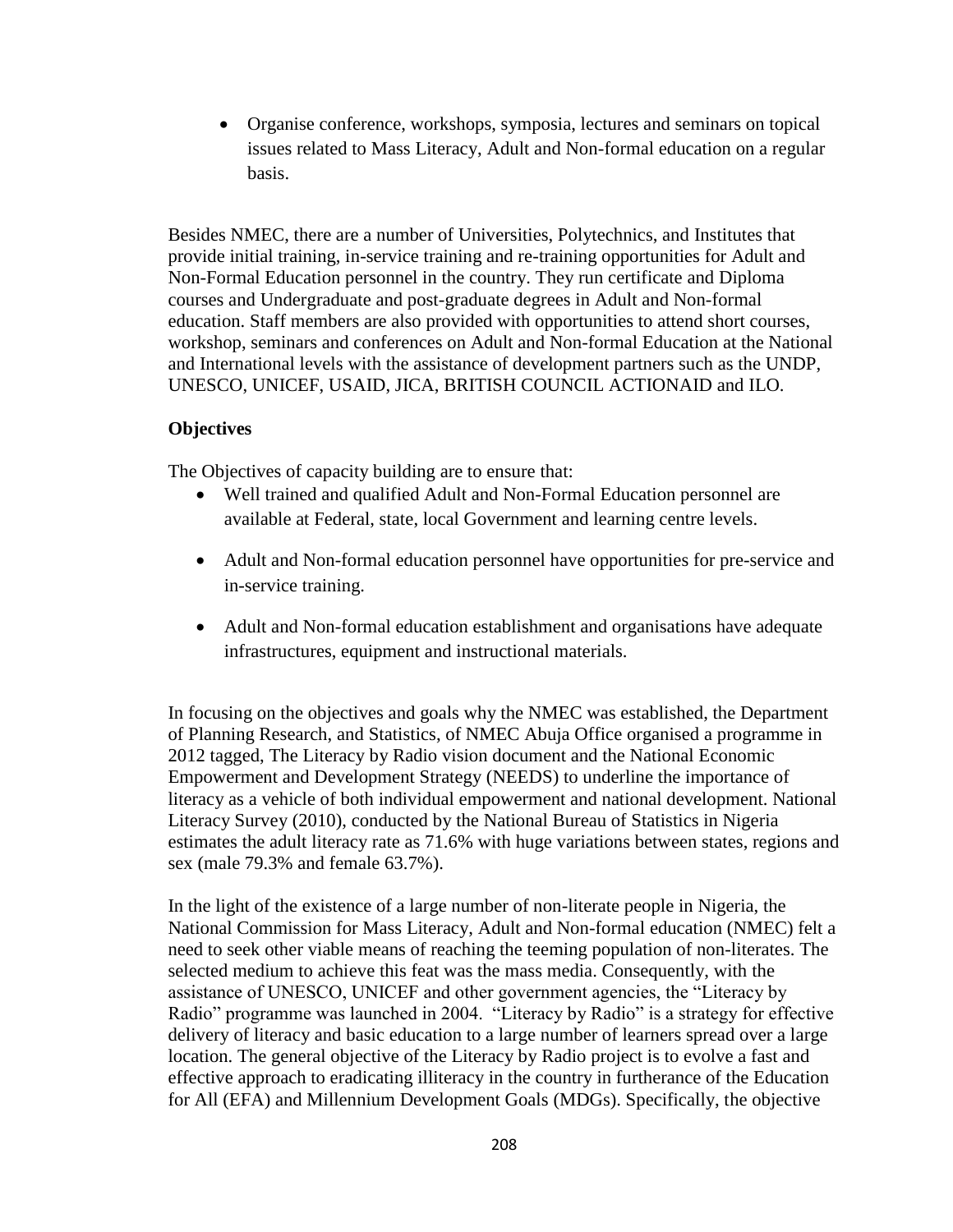Organise conference, workshops, symposia, lectures and seminars on topical issues related to Mass Literacy, Adult and Non-formal education on a regular basis.

Besides NMEC, there are a number of Universities, Polytechnics, and Institutes that provide initial training, in-service training and re-training opportunities for Adult and Non-Formal Education personnel in the country. They run certificate and Diploma courses and Undergraduate and post-graduate degrees in Adult and Non-formal education. Staff members are also provided with opportunities to attend short courses, workshop, seminars and conferences on Adult and Non-formal Education at the National and International levels with the assistance of development partners such as the UNDP, UNESCO, UNICEF, USAID, JICA, BRITISH COUNCIL ACTIONAID and ILO.

#### **Objectives**

The Objectives of capacity building are to ensure that:

- Well trained and qualified Adult and Non-Formal Education personnel are available at Federal, state, local Government and learning centre levels.
- Adult and Non-formal education personnel have opportunities for pre-service and in-service training.
- Adult and Non-formal education establishment and organisations have adequate infrastructures, equipment and instructional materials.

In focusing on the objectives and goals why the NMEC was established, the Department of Planning Research, and Statistics, of NMEC Abuja Office organised a programme in 2012 tagged, The Literacy by Radio vision document and the National Economic Empowerment and Development Strategy (NEEDS) to underline the importance of literacy as a vehicle of both individual empowerment and national development. National Literacy Survey (2010), conducted by the National Bureau of Statistics in Nigeria estimates the adult literacy rate as 71.6% with huge variations between states, regions and sex (male 79.3% and female 63.7%).

In the light of the existence of a large number of non-literate people in Nigeria, the National Commission for Mass Literacy, Adult and Non-formal education (NMEC) felt a need to seek other viable means of reaching the teeming population of non-literates. The selected medium to achieve this feat was the mass media. Consequently, with the assistance of UNESCO, UNICEF and other government agencies, the "Literacy by Radio" programme was launched in 2004. "Literacy by Radio" is a strategy for effective delivery of literacy and basic education to a large number of learners spread over a large location. The general objective of the Literacy by Radio project is to evolve a fast and effective approach to eradicating illiteracy in the country in furtherance of the Education for All (EFA) and Millennium Development Goals (MDGs). Specifically, the objective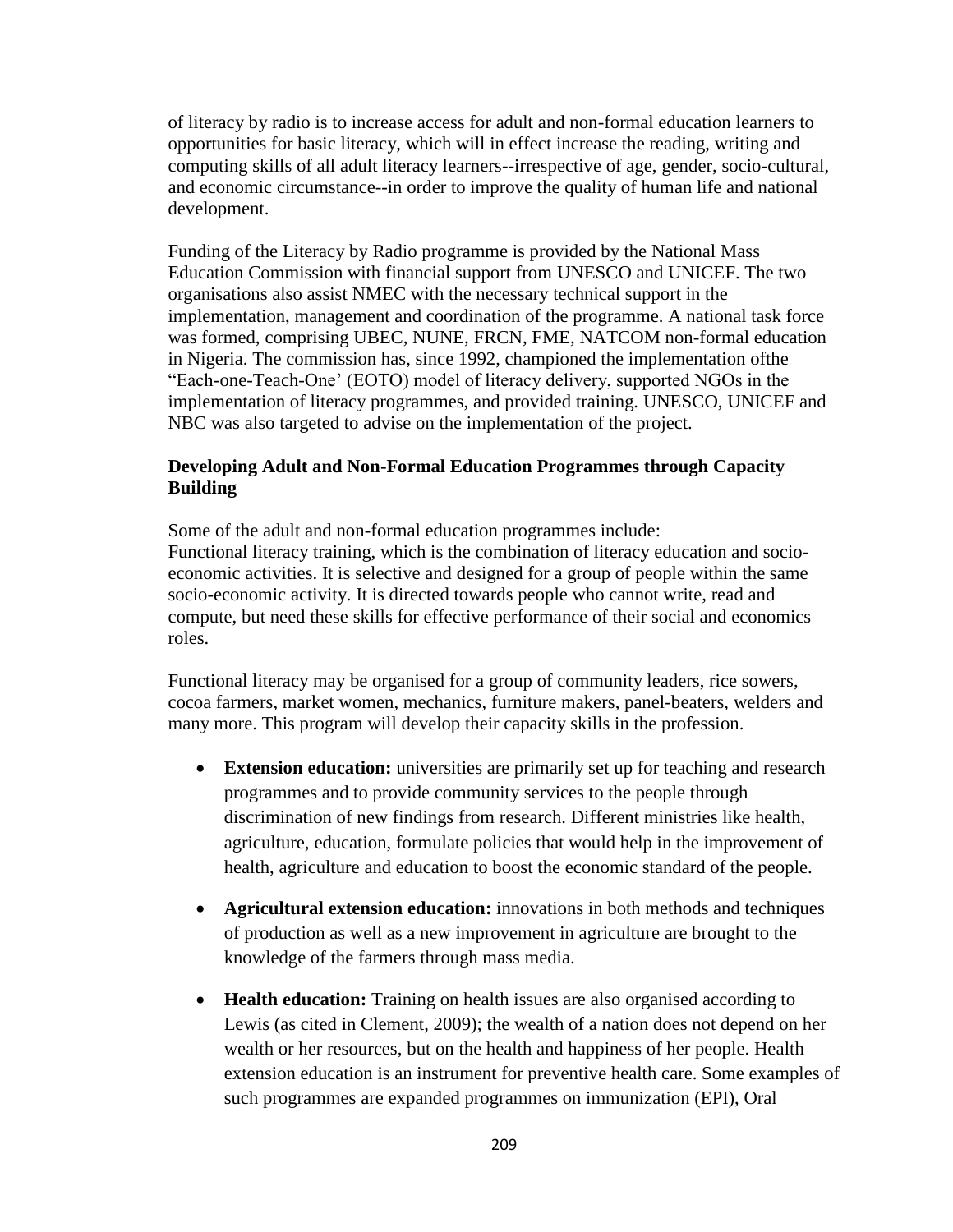of literacy by radio is to increase access for adult and non-formal education learners to opportunities for basic literacy, which will in effect increase the reading, writing and computing skills of all adult literacy learners--irrespective of age, gender, socio-cultural, and economic circumstance--in order to improve the quality of human life and national development.

Funding of the Literacy by Radio programme is provided by the National Mass Education Commission with financial support from UNESCO and UNICEF. The two organisations also assist NMEC with the necessary technical support in the implementation, management and coordination of the programme. A national task force was formed, comprising UBEC, NUNE, FRCN, FME, NATCOM non-formal education in Nigeria. The commission has, since 1992, championed the implementation ofthe "Each-one-Teach-One' (EOTO) model of literacy delivery, supported NGOs in the implementation of literacy programmes, and provided training. UNESCO, UNICEF and NBC was also targeted to advise on the implementation of the project.

### **Developing Adult and Non-Formal Education Programmes through Capacity Building**

Some of the adult and non-formal education programmes include: Functional literacy training, which is the combination of literacy education and socioeconomic activities. It is selective and designed for a group of people within the same socio-economic activity. It is directed towards people who cannot write, read and compute, but need these skills for effective performance of their social and economics roles.

Functional literacy may be organised for a group of community leaders, rice sowers, cocoa farmers, market women, mechanics, furniture makers, panel-beaters, welders and many more. This program will develop their capacity skills in the profession.

- **Extension education:** universities are primarily set up for teaching and research programmes and to provide community services to the people through discrimination of new findings from research. Different ministries like health, agriculture, education, formulate policies that would help in the improvement of health, agriculture and education to boost the economic standard of the people.
- **Agricultural extension education:** innovations in both methods and techniques of production as well as a new improvement in agriculture are brought to the knowledge of the farmers through mass media.
- **Health education:** Training on health issues are also organised according to Lewis (as cited in Clement, 2009); the wealth of a nation does not depend on her wealth or her resources, but on the health and happiness of her people. Health extension education is an instrument for preventive health care. Some examples of such programmes are expanded programmes on immunization (EPI), Oral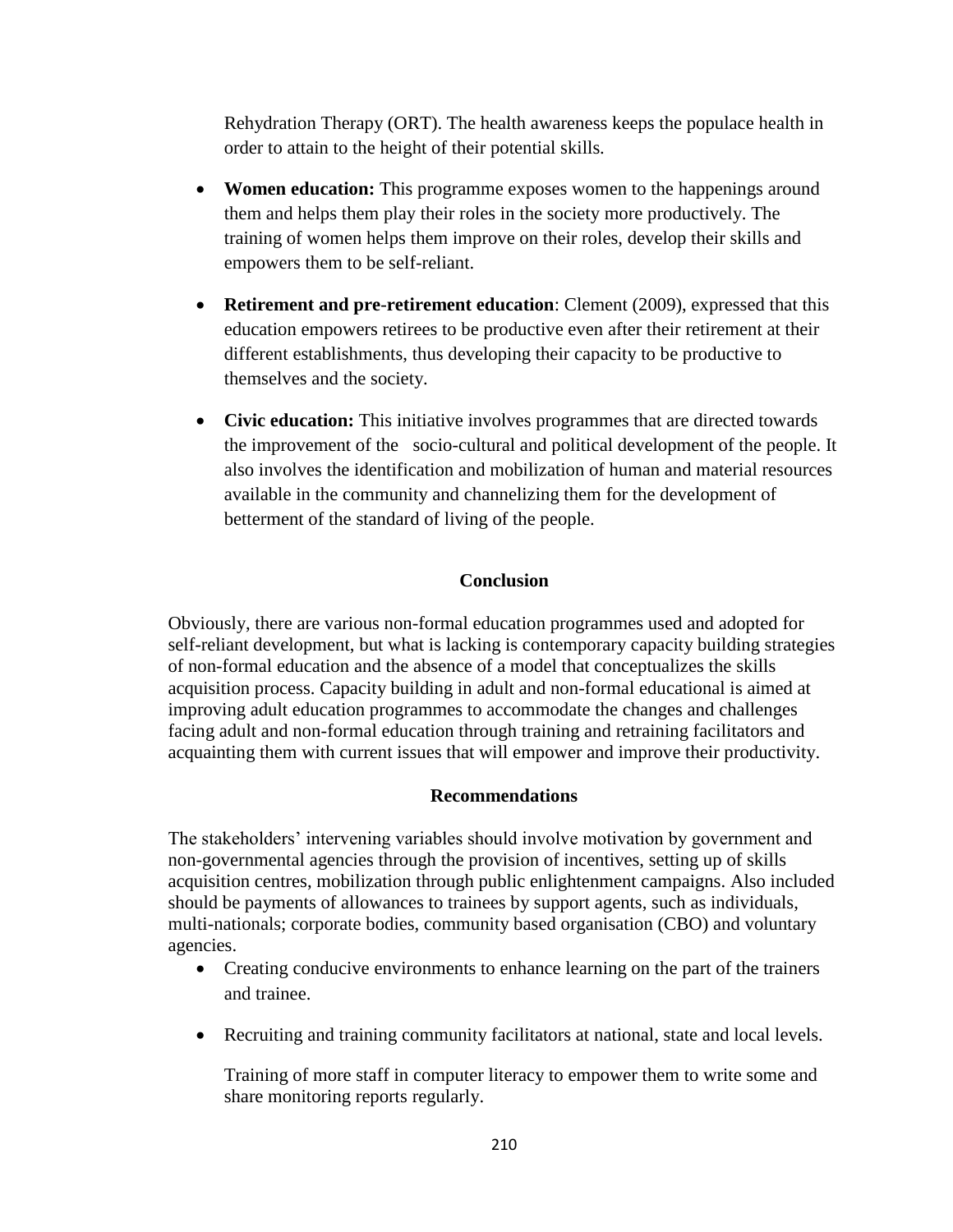Rehydration Therapy (ORT). The health awareness keeps the populace health in order to attain to the height of their potential skills.

- **Women education:** This programme exposes women to the happenings around them and helps them play their roles in the society more productively. The training of women helps them improve on their roles, develop their skills and empowers them to be self-reliant.
- **Retirement and pre**-**retirement education**: Clement (2009), expressed that this education empowers retirees to be productive even after their retirement at their different establishments, thus developing their capacity to be productive to themselves and the society.
- **Civic education:** This initiative involves programmes that are directed towards the improvement of the socio-cultural and political development of the people. It also involves the identification and mobilization of human and material resources available in the community and channelizing them for the development of betterment of the standard of living of the people.

## **Conclusion**

Obviously, there are various non-formal education programmes used and adopted for self-reliant development, but what is lacking is contemporary capacity building strategies of non-formal education and the absence of a model that conceptualizes the skills acquisition process. Capacity building in adult and non-formal educational is aimed at improving adult education programmes to accommodate the changes and challenges facing adult and non-formal education through training and retraining facilitators and acquainting them with current issues that will empower and improve their productivity.

#### **Recommendations**

The stakeholders' intervening variables should involve motivation by government and non-governmental agencies through the provision of incentives, setting up of skills acquisition centres, mobilization through public enlightenment campaigns. Also included should be payments of allowances to trainees by support agents, such as individuals, multi-nationals; corporate bodies, community based organisation (CBO) and voluntary agencies.

- Creating conducive environments to enhance learning on the part of the trainers and trainee.
- Recruiting and training community facilitators at national, state and local levels.

Training of more staff in computer literacy to empower them to write some and share monitoring reports regularly.